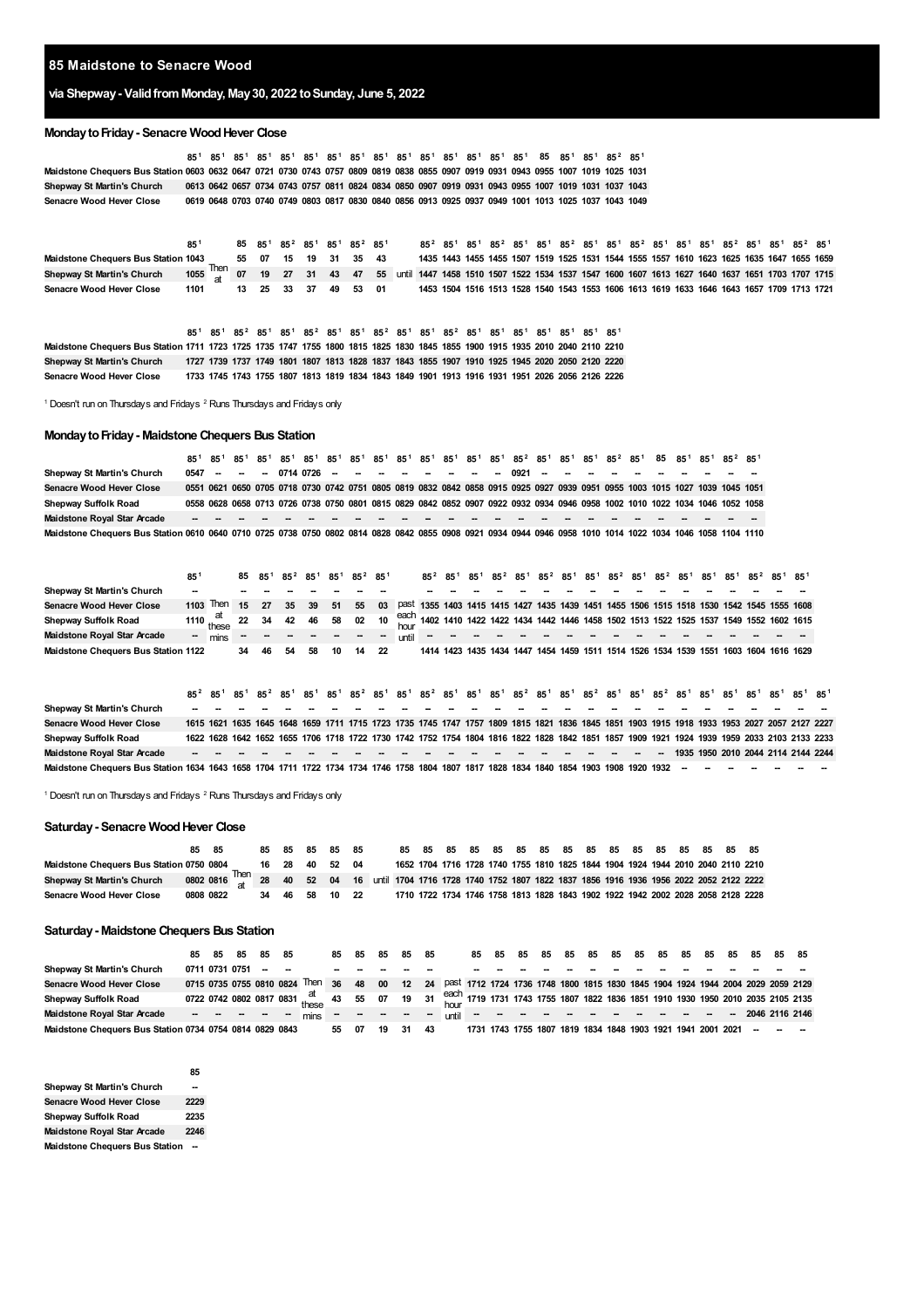### **Maidstone to Senacre Wood**

# **via Shepway- ValidfromMonday, May30, 2022 toSunday, June 5, 2022**

### **MondaytoFriday- Senacre WoodHever Close**

Maidstone Chequers Bus Station 0603 0632 0647 0721 0730 0743 0757 0809 0819 0838 0855 0907 0919 0931 0943 0955 1007 1019 1025 1031 Shepway St Martin's Church 0613 0642 0657 0734 0743 0757 0811 0824 0834 0850 0907 0919 0931 0943 0955 1007 1019 1031 1037 1043 **Senacre Wood Hever Close** 85<sup>[1](#page-0-0)</sup> 85<sup>1</sup> 85<sup>1</sup> 85<sup>1</sup> 85<sup>1</sup> 85<sup>1</sup> 85<sup>1</sup> 85<sup>1</sup> 85<sup>1</sup> 85<sup>1</sup> 85<sup>1</sup> 85<sup>1</sup> 85<sup>1</sup> 85<sup>1</sup> 85<sup>1</sup> 85<sup>1</sup> 85<sup>1</sup> 85<sup>1</sup> 85<sup>[2](#page-0-1)</sup> 85<sup>1</sup> 0619 0648 0703 0740 0749 0803 0817 0830 0840 0856 0913 0925 0937 0949 1001 1013 1025 1037 1043 1049

|                                            |                                                                                                                                |  |                      |  |  | 85 85 <sup>1</sup> 85 <sup>2</sup> 85 <sup>1</sup> 85 <sup>1</sup> 85 <sup>2</sup> 85 <sup>1</sup> |  |  |  | $85^2$ $85^1$ $85^1$ $85^2$ $85^1$ $85^1$ $85^2$ $85^1$ $85^2$ $85^1$ $85^1$ $85^1$ $85^2$ $85^1$ $85^2$ $85^1$ |  |  |  |  |  |                                                                                           |
|--------------------------------------------|--------------------------------------------------------------------------------------------------------------------------------|--|----------------------|--|--|----------------------------------------------------------------------------------------------------|--|--|--|-----------------------------------------------------------------------------------------------------------------|--|--|--|--|--|-------------------------------------------------------------------------------------------|
| <b>Maidstone Chequers Bus Station 1043</b> |                                                                                                                                |  | 55 07 15 19 31 35 43 |  |  |                                                                                                    |  |  |  | 1435 1443 1455 1455 1507 1519 1525 1531 1544 1555 1557 1610 1623 1625 1635 1647 1655 1659                       |  |  |  |  |  |                                                                                           |
| Shepway St Martin's Church                 | 1055 Then 07 19 27 31 43 47 55 until 1447 1458 1510 1507 1522 1534 1537 1547 1600 1607 1613 1627 1640 1637 1651 1703 1707 1715 |  |                      |  |  |                                                                                                    |  |  |  |                                                                                                                 |  |  |  |  |  |                                                                                           |
| <b>Senacre Wood Hever Close</b>            | 1101                                                                                                                           |  |                      |  |  | 13 25 33 37 49 53 01                                                                               |  |  |  |                                                                                                                 |  |  |  |  |  | 1453 1504 1516 1513 1528 1540 1543 1553 1606 1613 1619 1633 1646 1643 1657 1709 1713 1721 |

|                                                                                                                               |  | 85 <sup>1</sup> 85 <sup>1</sup> 85 <sup>2</sup> 85 <sup>1</sup> 85 <sup>1</sup> 85 <sup>2</sup> 85 <sup>2</sup> 85 <sup>1</sup> 85 <sup>1</sup> 85 <sup>2</sup> 85 <sup>1</sup> 85 <sup>1</sup> 85 <sup>1</sup> 85 <sup>1</sup> 85 <sup>1</sup> 85 <sup>1</sup> 85 <sup>1</sup> 85 <sup>1</sup> |  |  |  |  |  |  |  |                                                                                                |
|-------------------------------------------------------------------------------------------------------------------------------|--|-------------------------------------------------------------------------------------------------------------------------------------------------------------------------------------------------------------------------------------------------------------------------------------------------|--|--|--|--|--|--|--|------------------------------------------------------------------------------------------------|
| Maidstone Chequers Bus Station 1711 1723 1725 1735 1747 1755 1800 1815 1825 1830 1845 1855 1900 1915 1935 2010 2040 2110 2210 |  |                                                                                                                                                                                                                                                                                                 |  |  |  |  |  |  |  |                                                                                                |
| <b>Shepway St Martin's Church</b>                                                                                             |  |                                                                                                                                                                                                                                                                                                 |  |  |  |  |  |  |  | 1727 1739 1737 1749 1801 1807 1813 1828 1837 1843 1855 1907 1910 1925 1945 2020 2050 2120 2220 |
| Senacre Wood Hever Close                                                                                                      |  |                                                                                                                                                                                                                                                                                                 |  |  |  |  |  |  |  | 1733 1745 1743 1755 1807 1813 1819 1834 1843 1849 1901 1913 1916 1931 1951 2026 2056 2126 2226 |

<span id="page-0-1"></span><span id="page-0-0"></span><sup>1</sup> Doesn't run on Thursdays and Fridays <sup>2</sup> Runs Thursdays and Fridays only

### **MondaytoFriday- Maidstone Chequers Bus Station**

**Shepway St Martin's Church** Senacre Wood Hever Close 0551 0621 0650 0705 0718 0730 0742 0751 0805 0819 0832 0842 0858 0915 0925 0927 0939 0951 0955 1003 1015 1027 1039 1045 1051 **Shepway Suffolk Road Maidstone Royal Star Arcade -- -- -- -- -- -- -- -- -- -- -- -- -- -- -- -- -- -- -- -- --** Maidstone Chequers Bus Station 0610 0640 0710 0725 0738 0750 0802 0814 0828 0842 0855 0908 0921 0934 0944 0946 0958 1010 1014 1022 1034 1046 1058 1104 1110 85<sup>[1](#page-0-0)</sup> 85<sup>1</sup> 85<sup>1</sup> 85<sup>1</sup> 85<sup>1</sup> 85<sup>1</sup> 85<sup>1</sup> 85<sup>1</sup> 85<sup>1</sup> 85<sup>1</sup> 85<sup>1</sup> 85<sup>1</sup> 85<sup>1</sup> 85<sup>1</sup> 85<sup>[2](#page-0-1)</sup> 85<sup>1</sup> 85<sup>1</sup> 85<sup>2</sup> 85<sup>1</sup> 85<sup>1</sup> 85<sup>1</sup> 85<sup>2</sup> 85<sup>1</sup> **-- -- -- 0714 0726 -- -- -- -- -- -- -- -- 0921 -- -- -- -- --** 0558 0628 0658 0713 0726 0738 0750 0801 0815 0829 0842 0852 0907 0922 0932 0934 0946 0958 1002 1010 1022 1034 1046 1052 1058 **-- -- -- -- -- -- -- -- --**

|                                           | 85                       |                                                                                                                              |    |    | 85 85 <sup>1</sup> 85 <sup>2</sup> 85 <sup>1</sup> 85 <sup>1</sup> 85 <sup>2</sup> 85 <sup>1</sup> |       |    |    |    | $85^2$ $85^1$ |  |  |  |  |  | $85^1$ $85^2$ $85^1$ $85^2$ $85^1$ $85^1$ $85^2$ $85^1$ $85^2$ $85^1$ $85^1$ $85^1$ $85^2$ $85^1$ $85^1$ |  |                                                                                               |
|-------------------------------------------|--------------------------|------------------------------------------------------------------------------------------------------------------------------|----|----|----------------------------------------------------------------------------------------------------|-------|----|----|----|---------------|--|--|--|--|--|----------------------------------------------------------------------------------------------------------|--|-----------------------------------------------------------------------------------------------|
| Shepway St Martin's Church                | $\overline{\phantom{a}}$ |                                                                                                                              |    |    |                                                                                                    |       |    |    |    |               |  |  |  |  |  |                                                                                                          |  |                                                                                               |
| Senacre Wood Hever Close                  |                          | $1103$ Then                                                                                                                  | 15 | 27 | 35 <sup>°</sup>                                                                                    | 39 51 |    | 55 |    |               |  |  |  |  |  |                                                                                                          |  | 03  Past 1355 1403 1415 1415 1427 1435 1439 1451 1455 1506 1515 1518 1530 1542 1545 1555 1608 |
| Shepway Suffolk Road                      |                          | at 1110 these 22 34 42 46 58 02 10 each 1402 1410 1422 1422 1434 1442 1446 1458 1502 1513 1522 1525 1537 1549 1552 1602 1615 |    |    |                                                                                                    |       |    |    |    |               |  |  |  |  |  |                                                                                                          |  |                                                                                               |
| Maidstone Royal Star Arcade               | $\sim$ 100 $\,$          | mins                                                                                                                         |    |    |                                                                                                    |       |    |    |    |               |  |  |  |  |  |                                                                                                          |  |                                                                                               |
| Maidstone Chequers Bus Station 1122 34 46 |                          |                                                                                                                              |    |    | -54                                                                                                | 58    | 10 | 14 | 22 |               |  |  |  |  |  |                                                                                                          |  | 1414 1423 1435 1434 1447 1454 1459 1511 1514 1526 1534 1539 1551 1603 1604 1616 1629          |

**Shepway St Martin's Church Senacre Wood Hever Close Shepway Suffolk Road Maidstone Royal Star Arcade -- -- -- -- -- -- -- -- -- -- -- -- -- -- -- -- -- -- -- -- -- 1935 1950 2010 2044 2114 2144 2244** Maidstone Chequers Bus Station 1634 1643 1658 1704 1711 1722 1734 1734 1746 1758 1804 1807 1817 1828 1834 1834 1840 1854 1903 1908 1920 1932 -85<sup>[2](#page-0-1)</sup> 85<sup>[1](#page-0-0)</sup> 85<sup>1</sup> 85<sup>2</sup> 85<sup>1</sup> 85<sup>1</sup> 85<sup>1</sup> 85<sup>2</sup> 85<sup>1</sup> 85<sup>2</sup> 85<sup>1</sup> 85<sup>1</sup> 85<sup>1</sup> 85<sup>2</sup> 85<sup>1</sup> 85<sup>1</sup> 85<sup>2</sup> 85<sup>1</sup> 85<sup>1</sup> 85<sup>1</sup> 85<sup>1</sup> 85<sup>1</sup> 85<sup>1</sup> 85<sup>1</sup> 85<sup>1</sup> 85<sup>1</sup> 85<sup>1</sup> 85<sup>1</sup> **--** 1615 1621 1635 1645 1648 1659 1711 1715 1723 1735 1745 1747 1757 1809 1815 1821 1836 1845 1851 1903 1915 1918 1933 1953 2027 2057 2127 2227 1622 1628 1642 1652 1655 1706 1718 1722 1730 1742 1752 1754 1804 1816 1822 1828 1842 1851 1857 1909 1921 1924 1939 1959 2033 2103 2133 2233 **-- -- -- -- -- -- -- -- -- -- -- -- -- -- -- -- -- -- -- -- -- -- -- -- -- -- -- -- -- -- -- -- --**

Doesn't run on Thursdays and Fridays  $2$  Runs Thursdays and Fridays only

#### **Saturday- Senacre WoodHever Close**

**Maidstone Chequers Bus Station 0750 0804** Shepway St Martin's Church 0802 0816 Then<br>Shepway St Martin's Church 0802 0816 That 28 40 52 04 16 until 1704 1716 1728 1740 1752 1807 1822 1837 1856 1916 1936 1956 2022 2052 2122 2222 **Senacre Wood Hever Close** at **85 85 85 85 85 85 28 40 52 04 1704 1716 1728 1740 1755 1810 1825 1844 1904 1924 1944 2010 2040 2110 2210 34 46 58 10 22 1710 85 85 85 85 85 85 85 85 85 85 85 85 85 85 1734 1746 1758 1813 1828 1843 1902 1922 1942 2002 2028 2058 2128 2228**

#### **Saturday- Maidstone Chequers Bus Station**

|                                                         | 85                | 85 | 85 | 85 85         |                                                                                                                               | 85 | 85 | 85 | 85   | - 85 | 85 85                                                                                           | 85 | 85 | 85 | 85 | 85 | 85 85 | 85 | 85 | 85 | 85 | 85 85 |  |
|---------------------------------------------------------|-------------------|----|----|---------------|-------------------------------------------------------------------------------------------------------------------------------|----|----|----|------|------|-------------------------------------------------------------------------------------------------|----|----|----|----|----|-------|----|----|----|----|-------|--|
| Shepway St Martin's Church                              | 0711 0731 0751    |    |    | $\sim$ $\sim$ |                                                                                                                               |    |    |    |      |      |                                                                                                 |    |    |    |    |    |       |    |    |    |    |       |  |
| <b>Senacre Wood Hever Close</b>                         |                   |    |    |               | 0715 0735 0755 0810 0824 Then 36                                                                                              |    |    |    |      |      | 48  00  12  24  Past 1712 1724 1736 1748 1800 1815 1830 1845 1904 1924 1944 2004 2029 2059 2129 |    |    |    |    |    |       |    |    |    |    |       |  |
| Shepway Suffolk Road                                    |                   |    |    |               | 0722 0742 0802 0817 0831 these 43 55 07 19 31 each 1719 1731 1743 1755 1807 1822 1836 1851 1910 1930 1950 2010 2035 2105 2135 |    |    |    |      |      |                                                                                                 |    |    |    |    |    |       |    |    |    |    |       |  |
| Maidstone Royal Star Arcade                             | <u>sa a a a a</u> |    |    |               | mins                                                                                                                          |    |    |    |      |      | until - - - - - - - - - - - - - - 2046 2116 2146                                                |    |    |    |    |    |       |    |    |    |    |       |  |
| Maidstone Chequers Bus Station 0734 0754 0814 0829 0843 |                   |    |    |               |                                                                                                                               | 55 | 07 | 19 | - 31 | 43   | 1731 1743 1755 1807 1819 1834 1848 1903 1921 1941 2001 2021 -                                   |    |    |    |    |    |       |    |    |    |    |       |  |

|                                       | כס   |
|---------------------------------------|------|
| Shepway St Martin's Church            |      |
| <b>Senacre Wood Hever Close</b>       | 2229 |
| Shepway Suffolk Road                  | 2235 |
| Maidstone Royal Star Arcade           | 2246 |
| <b>Maidstone Chequers Bus Station</b> |      |